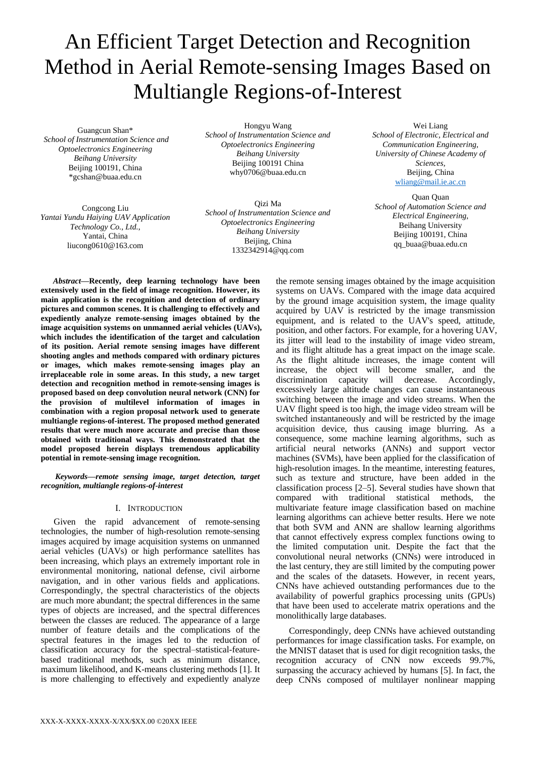# An Efficient Target Detection and Recognition Method in Aerial Remote-sensing Images Based on Multiangle Regions-of-Interest

Guangcun Shan\* *School of Instrumentation Science and Optoelectronics Engineering Beihang University* Beijing 100191, China \*gcshan@buaa.edu.cn

Congcong Liu *Yantai Yundu Haiying UAV Application Technology Co., Ltd.*, Yantai, China liucong0610@163.com

Hongyu Wang *School of Instrumentation Science and Optoelectronics Engineering Beihang University* Beijing 100191 China why0706@buaa.edu.cn

Qizi Ma *School of Instrumentation Science and Optoelectronics Engineering Beihang University* Beijing, China 1332342914@qq.com

Wei Liang *School of Electronic, Electrical and Communication Engineering, University of Chinese Academy of Sciences,* Beijing, China [wliang@mail.ie.ac.cn](mailto:wliang@mail.ie.ac.cn)

Quan Quan *School of Automation Science and Electrical Engineering*, Beihang University Beijing 100191, China qq\_buaa@buaa.edu.cn

*Abstract***—Recently, deep learning technology have been extensively used in the field of image recognition. However, its main application is the recognition and detection of ordinary pictures and common scenes. It is challenging to effectively and expediently analyze remote-sensing images obtained by the image acquisition systems on unmanned aerial vehicles (UAVs), which includes the identification of the target and calculation of its position. Aerial remote sensing images have different shooting angles and methods compared with ordinary pictures or images, which makes remote-sensing images play an irreplaceable role in some areas. In this study, a new target detection and recognition method in remote-sensing images is proposed based on deep convolution neural network (CNN) for the provision of multilevel information of images in combination with a region proposal network used to generate multiangle regions-of-interest. The proposed method generated results that were much more accurate and precise than those obtained with traditional ways. This demonstrated that the model proposed herein displays tremendous applicability potential in remote-sensing image recognition.**

*Keywords—remote sensing image, target detection, target recognition, multiangle regions-of-interest*

# I. INTRODUCTION

Given the rapid advancement of remote-sensing technologies, the number of high-resolution remote-sensing images acquired by image acquisition systems on unmanned aerial vehicles (UAVs) or high performance satellites has been increasing, which plays an extremely important role in environmental monitoring, national defense, civil airborne navigation, and in other various fields and applications. Correspondingly, the spectral characteristics of the objects are much more abundant; the spectral differences in the same types of objects are increased, and the spectral differences between the classes are reduced. The appearance of a large number of feature details and the complications of the spectral features in the images led to the reduction of classification accuracy for the spectral–statistical-featurebased traditional methods, such as minimum distance, maximum likelihood, and K-means clustering methods [1]. It is more challenging to effectively and expediently analyze

the remote sensing images obtained by the image acquisition systems on UAVs. Compared with the image data acquired by the ground image acquisition system, the image quality acquired by UAV is restricted by the image transmission equipment, and is related to the UAV's speed, attitude, position, and other factors. For example, for a hovering UAV, its jitter will lead to the instability of image video stream, and its flight altitude has a great impact on the image scale. As the flight altitude increases, the image content will increase, the object will become smaller, and the discrimination capacity will decrease. Accordingly, excessively large altitude changes can cause instantaneous switching between the image and video streams. When the UAV flight speed is too high, the image video stream will be switched instantaneously and will be restricted by the image acquisition device, thus causing image blurring. As a consequence, some machine learning algorithms, such as artificial neural networks (ANNs) and support vector machines (SVMs), have been applied for the classification of high-resolution images. In the meantime, interesting features, such as texture and structure, have been added in the classification process [2–5]. Several studies have shown that compared with traditional statistical methods, the multivariate feature image classification based on machine learning algorithms can achieve better results. Here we note that both SVM and ANN are shallow learning algorithms that cannot effectively express complex functions owing to the limited computation unit. Despite the fact that the convolutional neural networks (CNNs) were introduced in the last century, they are still limited by the computing power and the scales of the datasets. However, in recent years, CNNs have achieved outstanding performances due to the availability of powerful graphics processing units (GPUs) that have been used to accelerate matrix operations and the monolithically large databases.

Correspondingly, deep CNNs have achieved outstanding performances for image classification tasks. For example, on the MNIST dataset that is used for digit recognition tasks, the recognition accuracy of CNN now exceeds 99.7%, surpassing the accuracy achieved by humans [5]. In fact, the deep CNNs composed of multilayer nonlinear mapping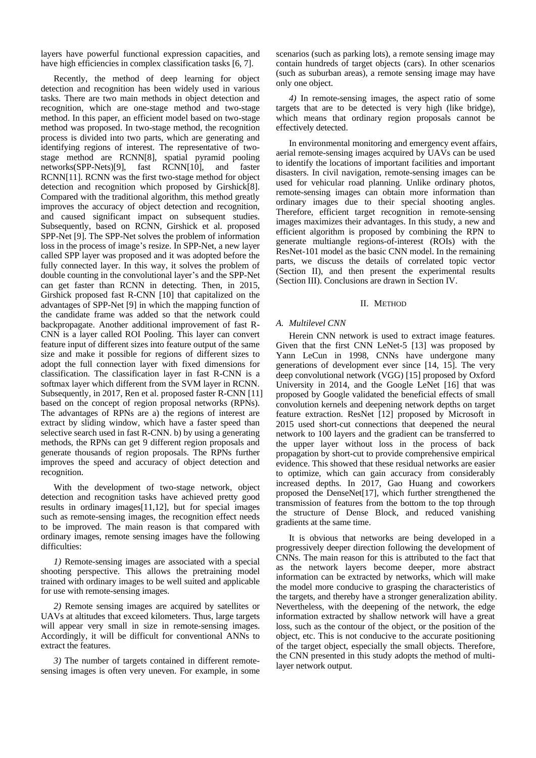layers have powerful functional expression capacities, and have high efficiencies in complex classification tasks [6, 7].

Recently, the method of deep learning for object detection and recognition has been widely used in various tasks. There are two main methods in object detection and recognition, which are one-stage method and two-stage method. In this paper, an efficient model based on two-stage method was proposed. In two-stage method, the recognition process is divided into two parts, which are generating and identifying regions of interest. The representative of twostage method are RCNN[8], spatial pyramid pooling networks(SPP-Nets)[9], fast RCNN[10], and faster RCNN[11]. RCNN was the first two-stage method for object detection and recognition which proposed by Girshick[8]. Compared with the traditional algorithm, this method greatly improves the accuracy of object detection and recognition, and caused significant impact on subsequent studies. Subsequently, based on RCNN, Girshick et al. proposed SPP-Net [9]. The SPP-Net solves the problem of information loss in the process of image's resize. In SPP-Net, a new layer called SPP layer was proposed and it was adopted before the fully connected layer. In this way, it solves the problem of double counting in the convolutional layer's and the SPP-Net can get faster than RCNN in detecting. Then, in 2015, Girshick proposed fast R-CNN [10] that capitalized on the advantages of SPP-Net [9] in which the mapping function of the candidate frame was added so that the network could backpropagate. Another additional improvement of fast R-CNN is a layer called ROI Pooling. This layer can convert feature input of different sizes into feature output of the same size and make it possible for regions of different sizes to adopt the full connection layer with fixed dimensions for classification. The classification layer in fast R-CNN is a softmax layer which different from the SVM layer in RCNN. Subsequently, in 2017, Ren et al. proposed faster R-CNN [11] based on the concept of region proposal networks (RPNs). The advantages of RPNs are a) the regions of interest are extract by sliding window, which have a faster speed than selective search used in fast R-CNN. b) by using a generating methods, the RPNs can get 9 different region proposals and generate thousands of region proposals. The RPNs further improves the speed and accuracy of object detection and recognition.

With the development of two-stage network, object detection and recognition tasks have achieved pretty good results in ordinary images[11,12], but for special images such as remote-sensing images, the recognition effect needs to be improved. The main reason is that compared with ordinary images, remote sensing images have the following difficulties:

*1)* Remote-sensing images are associated with a special shooting perspective. This allows the pretraining model trained with ordinary images to be well suited and applicable for use with remote-sensing images.

*2)* Remote sensing images are acquired by satellites or UAVs at altitudes that exceed kilometers. Thus, large targets will appear very small in size in remote-sensing images. Accordingly, it will be difficult for conventional ANNs to extract the features.

*3)* The number of targets contained in different remotesensing images is often very uneven. For example, in some scenarios (such as parking lots), a remote sensing image may contain hundreds of target objects (cars). In other scenarios (such as suburban areas), a remote sensing image may have only one object.

*4)* In remote-sensing images, the aspect ratio of some targets that are to be detected is very high (like bridge), which means that ordinary region proposals cannot be effectively detected.

In environmental monitoring and emergency event affairs, aerial remote-sensing images acquired by UAVs can be used to identify the locations of important facilities and important disasters. In civil navigation, remote-sensing images can be used for vehicular road planning. Unlike ordinary photos, remote-sensing images can obtain more information than ordinary images due to their special shooting angles. Therefore, efficient target recognition in remote-sensing images maximizes their advantages. In this study, a new and efficient algorithm is proposed by combining the RPN to generate multiangle regions-of-interest (ROIs) with the ResNet-101 model as the basic CNN model. In the remaining parts, we discuss the details of correlated topic vector (Section II), and then present the experimental results (Section III). Conclusions are drawn in Section IV.

## II. METHOD

## *A. Multilevel CNN*

Herein CNN network is used to extract image features. Given that the first CNN LeNet-5 [13] was proposed by Yann LeCun in 1998, CNNs have undergone many generations of development ever since [14, 15]. The very deep convolutional network (VGG) [15] proposed by Oxford University in 2014, and the Google LeNet [16] that was proposed by Google validated the beneficial effects of small convolution kernels and deepening network depths on target feature extraction. ResNet [12] proposed by Microsoft in 2015 used short-cut connections that deepened the neural network to 100 layers and the gradient can be transferred to the upper layer without loss in the process of back propagation by short-cut to provide comprehensive empirical evidence. This showed that these residual networks are easier to optimize, which can gain accuracy from considerably increased depths. In 2017, Gao Huang and coworkers proposed the DenseNet[17], which further strengthened the transmission of features from the bottom to the top through the structure of Dense Block, and reduced vanishing gradients at the same time.

It is obvious that networks are being developed in a progressively deeper direction following the development of CNNs. The main reason for this is attributed to the fact that as the network layers become deeper, more abstract information can be extracted by networks, which will make the model more conducive to grasping the characteristics of the targets, and thereby have a stronger generalization ability. Nevertheless, with the deepening of the network, the edge information extracted by shallow network will have a great loss, such as the contour of the object, or the position of the object, etc. This is not conducive to the accurate positioning of the target object, especially the small objects. Therefore, the CNN presented in this study adopts the method of multilayer network output.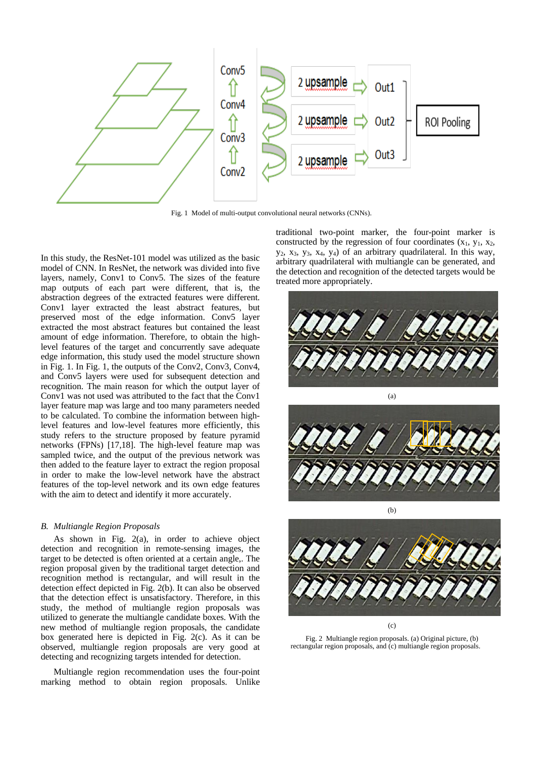

Fig. 1 Model of multi-output convolutional neural networks (CNNs).

In this study, the ResNet-101 model was utilized as the basic model of CNN. In ResNet, the network was divided into five layers, namely, Conv1 to Conv5. The sizes of the feature map outputs of each part were different, that is, the abstraction degrees of the extracted features were different. Conv1 layer extracted the least abstract features, but preserved most of the edge information. Conv5 layer extracted the most abstract features but contained the least amount of edge information. Therefore, to obtain the highlevel features of the target and concurrently save adequate edge information, this study used the model structure shown in Fig. 1. In Fig. 1, the outputs of the Conv2, Conv3, Conv4, and Conv5 layers were used for subsequent detection and recognition. The main reason for which the output layer of Conv1 was not used was attributed to the fact that the Conv1 layer feature map was large and too many parameters needed to be calculated. To combine the information between highlevel features and low-level features more efficiently, this study refers to the structure proposed by feature pyramid networks (FPNs) [17,18]. The high-level feature map was sampled twice, and the output of the previous network was then added to the feature layer to extract the region proposal in order to make the low-level network have the abstract features of the top-level network and its own edge features with the aim to detect and identify it more accurately.

## *B. Multiangle Region Proposals*

As shown in Fig. 2(a), in order to achieve object detection and recognition in remote-sensing images, the target to be detected is often oriented at a certain angle,. The region proposal given by the traditional target detection and recognition method is rectangular, and will result in the detection effect depicted in Fig. 2(b). It can also be observed that the detection effect is unsatisfactory. Therefore, in this study, the method of multiangle region proposals was utilized to generate the multiangle candidate boxes. With the new method of multiangle region proposals, the candidate box generated here is depicted in Fig. 2(c). As it can be observed, multiangle region proposals are very good at detecting and recognizing targets intended for detection.

Multiangle region recommendation uses the four-point marking method to obtain region proposals. Unlike

traditional two-point marker, the four-point marker is constructed by the regression of four coordinates  $(x_1, y_1, x_2,$  $y_2$ ,  $x_3$ ,  $y_3$ ,  $x_4$ ,  $y_4$ ) of an arbitrary quadrilateral. In this way, arbitrary quadrilateral with multiangle can be generated, and the detection and recognition of the detected targets would be treated more appropriately.





(c)

Fig. 2 Multiangle region proposals. (a) Original picture, (b) rectangular region proposals, and (c) multiangle region proposals.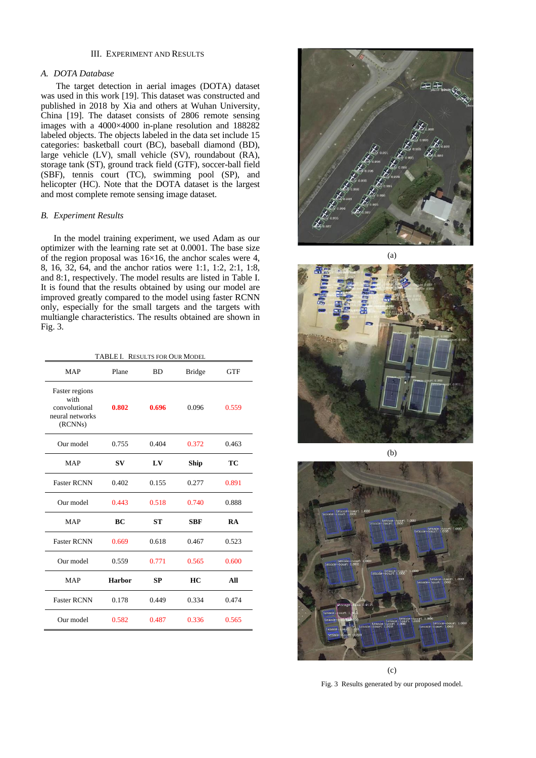# III. EXPERIMENT AND RESULTS

# *A. DOTA Database*

The target detection in aerial images (DOTA) dataset was used in this work [19]. This dataset was constructed and published in 2018 by Xia and others at Wuhan University, China [19]. The dataset consists of 2806 remote sensing images with a 4000×4000 in-plane resolution and 188282 labeled objects. The objects labeled in the data set include 15 categories: basketball court (BC), baseball diamond (BD), large vehicle (LV), small vehicle (SV), roundabout (RA), storage tank (ST), ground track field (GTF), soccer-ball field (SBF), tennis court (TC), swimming pool (SP), and helicopter (HC). Note that the DOTA dataset is the largest and most complete remote sensing image dataset.

# *B. Experiment Results*

In the model training experiment, we used Adam as our optimizer with the learning rate set at 0.0001. The base size of the region proposal was 16×16, the anchor scales were 4, 8, 16, 32, 64, and the anchor ratios were 1:1, 1:2, 2:1, 1:8, and 8:1, respectively. The model results are listed in Table I. It is found that the results obtained by using our model are improved greatly compared to the model using faster RCNN only, especially for the small targets and the targets with multiangle characteristics. The results obtained are shown in Fig. 3.

TABLE I. RESULTS FOR OUR MODEL

| <b>MAP</b>                                                            | Plane         | <b>BD</b> | <b>Bridge</b> | <b>GTF</b> |
|-----------------------------------------------------------------------|---------------|-----------|---------------|------------|
| Faster regions<br>with<br>convolutional<br>neural networks<br>(RCNNs) | 0.802         | 0.696     | 0.096         | 0.559      |
| Our model                                                             | 0.755         | 0.404     | 0.372         | 0.463      |
| <b>MAP</b>                                                            | $S_{V}$       | LV        | Ship          | TC         |
| <b>Faster RCNN</b>                                                    | 0.402         | 0.155     | 0.277         | 0.891      |
| Our model                                                             | 0.443         | 0.518     | 0.740         | 0.888      |
| <b>MAP</b>                                                            | <b>BC</b>     | <b>ST</b> | <b>SBF</b>    | <b>RA</b>  |
| <b>Faster RCNN</b>                                                    | 0.669         | 0.618     | 0.467         | 0.523      |
| Our model                                                             | 0.559         | 0.771     | 0.565         | 0.600      |
| <b>MAP</b>                                                            | <b>Harbor</b> | SP        | HC            | All        |
| <b>Faster RCNN</b>                                                    | 0.178         | 0.449     | 0.334         | 0.474      |
| Our model                                                             | 0.582         | 0.487     | 0.336         | 0.565      |



(a)



(b)



(c) Fig. 3 Results generated by our proposed model.